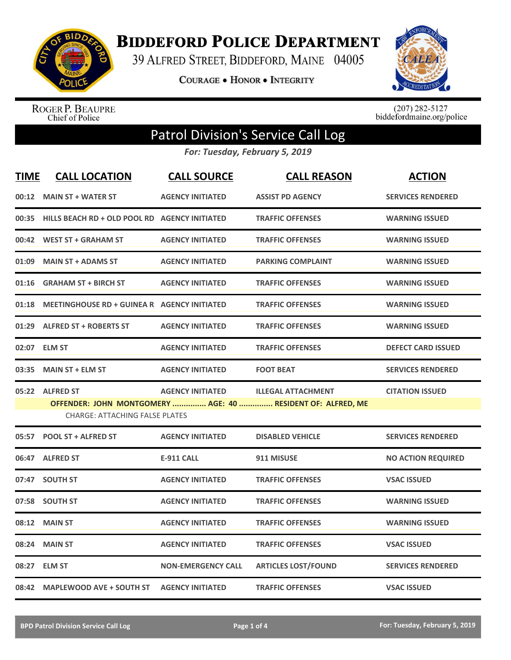

**BIDDEFORD POLICE DEPARTMENT** 

39 ALFRED STREET, BIDDEFORD, MAINE 04005

**COURAGE . HONOR . INTEGRITY** 



ROGER P. BEAUPRE<br>Chief of Police

 $(207)$  282-5127<br>biddefordmaine.org/police

## Patrol Division's Service Call Log

*For: Tuesday, February 5, 2019*

| <b>TIME</b> | <b>CALL LOCATION</b>                                     | <b>CALL SOURCE</b>        | <b>CALL REASON</b>                                                                       | <b>ACTION</b>             |
|-------------|----------------------------------------------------------|---------------------------|------------------------------------------------------------------------------------------|---------------------------|
|             | 00:12 MAIN ST + WATER ST                                 | <b>AGENCY INITIATED</b>   | <b>ASSIST PD AGENCY</b>                                                                  | <b>SERVICES RENDERED</b>  |
|             | 00:35 HILLS BEACH RD + OLD POOL RD AGENCY INITIATED      |                           | <b>TRAFFIC OFFENSES</b>                                                                  | <b>WARNING ISSUED</b>     |
|             | 00:42 WEST ST + GRAHAM ST                                | <b>AGENCY INITIATED</b>   | <b>TRAFFIC OFFENSES</b>                                                                  | <b>WARNING ISSUED</b>     |
| 01:09       | <b>MAIN ST + ADAMS ST</b>                                | <b>AGENCY INITIATED</b>   | <b>PARKING COMPLAINT</b>                                                                 | <b>WARNING ISSUED</b>     |
| 01:16       | <b>GRAHAM ST + BIRCH ST</b>                              | <b>AGENCY INITIATED</b>   | <b>TRAFFIC OFFENSES</b>                                                                  | <b>WARNING ISSUED</b>     |
| 01:18       | <b>MEETINGHOUSE RD + GUINEA R AGENCY INITIATED</b>       |                           | <b>TRAFFIC OFFENSES</b>                                                                  | <b>WARNING ISSUED</b>     |
| 01:29       | <b>ALFRED ST + ROBERTS ST</b>                            | <b>AGENCY INITIATED</b>   | <b>TRAFFIC OFFENSES</b>                                                                  | <b>WARNING ISSUED</b>     |
| 02:07       | <b>ELM ST</b>                                            | <b>AGENCY INITIATED</b>   | <b>TRAFFIC OFFENSES</b>                                                                  | <b>DEFECT CARD ISSUED</b> |
| 03:35       | <b>MAIN ST + ELM ST</b>                                  | <b>AGENCY INITIATED</b>   | <b>FOOT BEAT</b>                                                                         | <b>SERVICES RENDERED</b>  |
|             | 05:22 ALFRED ST<br><b>CHARGE: ATTACHING FALSE PLATES</b> | <b>AGENCY INITIATED</b>   | <b>ILLEGAL ATTACHMENT</b><br>OFFENDER: JOHN MONTGOMERY  AGE: 40  RESIDENT OF: ALFRED, ME | <b>CITATION ISSUED</b>    |
| 05:57       | <b>POOL ST + ALFRED ST</b>                               | <b>AGENCY INITIATED</b>   | <b>DISABLED VEHICLE</b>                                                                  | <b>SERVICES RENDERED</b>  |
|             | 06:47 ALFRED ST                                          | <b>E-911 CALL</b>         | 911 MISUSE                                                                               | <b>NO ACTION REQUIRED</b> |
| 07:47       | <b>SOUTH ST</b>                                          | <b>AGENCY INITIATED</b>   | <b>TRAFFIC OFFENSES</b>                                                                  | <b>VSAC ISSUED</b>        |
|             | 07:58 SOUTH ST                                           | <b>AGENCY INITIATED</b>   | <b>TRAFFIC OFFENSES</b>                                                                  | <b>WARNING ISSUED</b>     |
| 08:12       | <b>MAIN ST</b>                                           | <b>AGENCY INITIATED</b>   | <b>TRAFFIC OFFENSES</b>                                                                  | <b>WARNING ISSUED</b>     |
| 08:24       | <b>MAIN ST</b>                                           | <b>AGENCY INITIATED</b>   | <b>TRAFFIC OFFENSES</b>                                                                  | <b>VSAC ISSUED</b>        |
| 08:27       | <b>ELM ST</b>                                            | <b>NON-EMERGENCY CALL</b> | <b>ARTICLES LOST/FOUND</b>                                                               | <b>SERVICES RENDERED</b>  |
|             | 08:42 MAPLEWOOD AVE + SOUTH ST                           | <b>AGENCY INITIATED</b>   | <b>TRAFFIC OFFENSES</b>                                                                  | <b>VSAC ISSUED</b>        |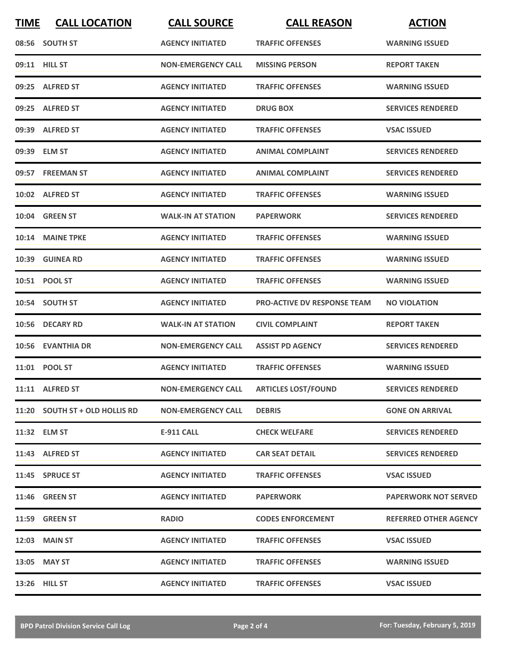| <b>TIME</b> | <b>CALL LOCATION</b>           | <b>CALL SOURCE</b>        | <b>CALL REASON</b>                 | <b>ACTION</b>                |
|-------------|--------------------------------|---------------------------|------------------------------------|------------------------------|
|             | 08:56 SOUTH ST                 | <b>AGENCY INITIATED</b>   | <b>TRAFFIC OFFENSES</b>            | <b>WARNING ISSUED</b>        |
|             | 09:11 HILL ST                  | <b>NON-EMERGENCY CALL</b> | <b>MISSING PERSON</b>              | <b>REPORT TAKEN</b>          |
|             | 09:25 ALFRED ST                | <b>AGENCY INITIATED</b>   | <b>TRAFFIC OFFENSES</b>            | <b>WARNING ISSUED</b>        |
|             | 09:25 ALFRED ST                | <b>AGENCY INITIATED</b>   | <b>DRUG BOX</b>                    | <b>SERVICES RENDERED</b>     |
|             | 09:39 ALFRED ST                | <b>AGENCY INITIATED</b>   | <b>TRAFFIC OFFENSES</b>            | <b>VSAC ISSUED</b>           |
|             | 09:39 ELM ST                   | <b>AGENCY INITIATED</b>   | <b>ANIMAL COMPLAINT</b>            | <b>SERVICES RENDERED</b>     |
|             | 09:57 FREEMAN ST               | <b>AGENCY INITIATED</b>   | <b>ANIMAL COMPLAINT</b>            | <b>SERVICES RENDERED</b>     |
|             | 10:02 ALFRED ST                | <b>AGENCY INITIATED</b>   | <b>TRAFFIC OFFENSES</b>            | <b>WARNING ISSUED</b>        |
|             | 10:04 GREEN ST                 | <b>WALK-IN AT STATION</b> | <b>PAPERWORK</b>                   | <b>SERVICES RENDERED</b>     |
|             | 10:14 MAINE TPKE               | <b>AGENCY INITIATED</b>   | <b>TRAFFIC OFFENSES</b>            | <b>WARNING ISSUED</b>        |
|             | 10:39 GUINEA RD                | <b>AGENCY INITIATED</b>   | <b>TRAFFIC OFFENSES</b>            | <b>WARNING ISSUED</b>        |
|             | 10:51 POOL ST                  | <b>AGENCY INITIATED</b>   | <b>TRAFFIC OFFENSES</b>            | <b>WARNING ISSUED</b>        |
|             | 10:54 SOUTH ST                 | <b>AGENCY INITIATED</b>   | <b>PRO-ACTIVE DV RESPONSE TEAM</b> | <b>NO VIOLATION</b>          |
|             | 10:56 DECARY RD                | <b>WALK-IN AT STATION</b> | <b>CIVIL COMPLAINT</b>             | <b>REPORT TAKEN</b>          |
|             | 10:56 EVANTHIA DR              | <b>NON-EMERGENCY CALL</b> | <b>ASSIST PD AGENCY</b>            | <b>SERVICES RENDERED</b>     |
|             | 11:01 POOL ST                  | <b>AGENCY INITIATED</b>   | <b>TRAFFIC OFFENSES</b>            | <b>WARNING ISSUED</b>        |
|             | 11:11 ALFRED ST                | <b>NON-EMERGENCY CALL</b> | <b>ARTICLES LOST/FOUND</b>         | <b>SERVICES RENDERED</b>     |
|             | 11:20 SOUTH ST + OLD HOLLIS RD | <b>NON-EMERGENCY CALL</b> | <b>DEBRIS</b>                      | <b>GONE ON ARRIVAL</b>       |
|             | 11:32 ELM ST                   | <b>E-911 CALL</b>         | <b>CHECK WELFARE</b>               | <b>SERVICES RENDERED</b>     |
|             | 11:43 ALFRED ST                | <b>AGENCY INITIATED</b>   | <b>CAR SEAT DETAIL</b>             | <b>SERVICES RENDERED</b>     |
|             | 11:45 SPRUCE ST                | <b>AGENCY INITIATED</b>   | <b>TRAFFIC OFFENSES</b>            | <b>VSAC ISSUED</b>           |
|             | <b>11:46 GREEN ST</b>          | <b>AGENCY INITIATED</b>   | <b>PAPERWORK</b>                   | <b>PAPERWORK NOT SERVED</b>  |
|             | 11:59 GREEN ST                 | <b>RADIO</b>              | <b>CODES ENFORCEMENT</b>           | <b>REFERRED OTHER AGENCY</b> |
|             | 12:03 MAIN ST                  | <b>AGENCY INITIATED</b>   | <b>TRAFFIC OFFENSES</b>            | <b>VSAC ISSUED</b>           |
|             | 13:05 MAY ST                   | <b>AGENCY INITIATED</b>   | <b>TRAFFIC OFFENSES</b>            | <b>WARNING ISSUED</b>        |
|             | 13:26 HILL ST                  | <b>AGENCY INITIATED</b>   | <b>TRAFFIC OFFENSES</b>            | <b>VSAC ISSUED</b>           |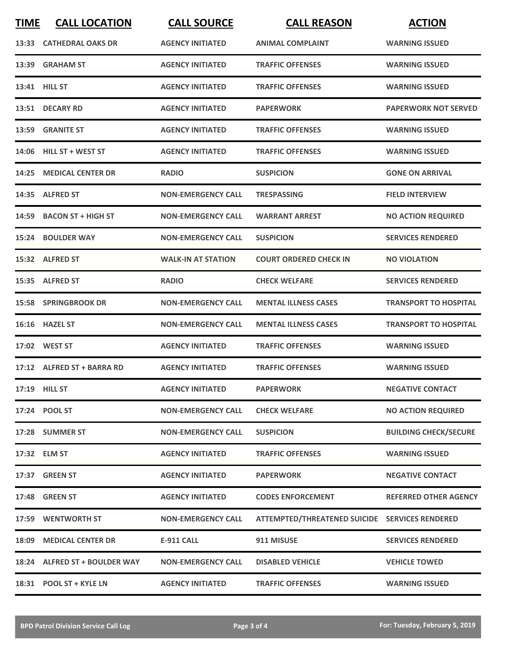| <b>TIME</b> | <b>CALL LOCATION</b>          | <b>CALL SOURCE</b>        | <b>CALL REASON</b>                             | <b>ACTION</b>                |
|-------------|-------------------------------|---------------------------|------------------------------------------------|------------------------------|
| 13:33       | <b>CATHEDRAL OAKS DR</b>      | <b>AGENCY INITIATED</b>   | <b>ANIMAL COMPLAINT</b>                        | <b>WARNING ISSUED</b>        |
| 13:39       | <b>GRAHAM ST</b>              | <b>AGENCY INITIATED</b>   | <b>TRAFFIC OFFENSES</b>                        | <b>WARNING ISSUED</b>        |
|             | 13:41 HILL ST                 | <b>AGENCY INITIATED</b>   | <b>TRAFFIC OFFENSES</b>                        | <b>WARNING ISSUED</b>        |
|             | 13:51 DECARY RD               | <b>AGENCY INITIATED</b>   | <b>PAPERWORK</b>                               | <b>PAPERWORK NOT SERVED</b>  |
| 13:59       | <b>GRANITE ST</b>             | <b>AGENCY INITIATED</b>   | <b>TRAFFIC OFFENSES</b>                        | <b>WARNING ISSUED</b>        |
| 14:06       | <b>HILL ST + WEST ST</b>      | <b>AGENCY INITIATED</b>   | <b>TRAFFIC OFFENSES</b>                        | <b>WARNING ISSUED</b>        |
| 14:25       | <b>MEDICAL CENTER DR</b>      | <b>RADIO</b>              | <b>SUSPICION</b>                               | <b>GONE ON ARRIVAL</b>       |
| 14:35       | <b>ALFRED ST</b>              | <b>NON-EMERGENCY CALL</b> | <b>TRESPASSING</b>                             | <b>FIELD INTERVIEW</b>       |
| 14:59       | <b>BACON ST + HIGH ST</b>     | <b>NON-EMERGENCY CALL</b> | <b>WARRANT ARREST</b>                          | <b>NO ACTION REQUIRED</b>    |
|             | 15:24 BOULDER WAY             | <b>NON-EMERGENCY CALL</b> | <b>SUSPICION</b>                               | <b>SERVICES RENDERED</b>     |
|             | 15:32 ALFRED ST               | <b>WALK-IN AT STATION</b> | <b>COURT ORDERED CHECK IN</b>                  | <b>NO VIOLATION</b>          |
|             | 15:35 ALFRED ST               | <b>RADIO</b>              | <b>CHECK WELFARE</b>                           | <b>SERVICES RENDERED</b>     |
|             | <b>15:58 SPRINGBROOK DR</b>   | <b>NON-EMERGENCY CALL</b> | <b>MENTAL ILLNESS CASES</b>                    | <b>TRANSPORT TO HOSPITAL</b> |
| 16:16       | <b>HAZEL ST</b>               | <b>NON-EMERGENCY CALL</b> | <b>MENTAL ILLNESS CASES</b>                    | <b>TRANSPORT TO HOSPITAL</b> |
|             | 17:02 WEST ST                 | <b>AGENCY INITIATED</b>   | <b>TRAFFIC OFFENSES</b>                        | <b>WARNING ISSUED</b>        |
|             | 17:12 ALFRED ST + BARRA RD    | <b>AGENCY INITIATED</b>   | <b>TRAFFIC OFFENSES</b>                        | <b>WARNING ISSUED</b>        |
|             | 17:19 HILL ST                 | <b>AGENCY INITIATED</b>   | <b>PAPERWORK</b>                               | <b>NEGATIVE CONTACT</b>      |
|             | 17:24 POOL ST                 | <b>NON-EMERGENCY CALL</b> | <b>CHECK WELFARE</b>                           | <b>NO ACTION REQUIRED</b>    |
|             | 17:28 SUMMER ST               | <b>NON-EMERGENCY CALL</b> | <b>SUSPICION</b>                               | <b>BUILDING CHECK/SECURE</b> |
|             | 17:32 ELM ST                  | <b>AGENCY INITIATED</b>   | <b>TRAFFIC OFFENSES</b>                        | <b>WARNING ISSUED</b>        |
|             | 17:37 GREEN ST                | <b>AGENCY INITIATED</b>   | <b>PAPERWORK</b>                               | <b>NEGATIVE CONTACT</b>      |
|             | <b>17:48 GREEN ST</b>         | <b>AGENCY INITIATED</b>   | <b>CODES ENFORCEMENT</b>                       | <b>REFERRED OTHER AGENCY</b> |
|             | 17:59 WENTWORTH ST            | <b>NON-EMERGENCY CALL</b> | ATTEMPTED/THREATENED SUICIDE SERVICES RENDERED |                              |
|             | 18:09 MEDICAL CENTER DR       | <b>E-911 CALL</b>         | 911 MISUSE                                     | <b>SERVICES RENDERED</b>     |
|             | 18:24 ALFRED ST + BOULDER WAY | <b>NON-EMERGENCY CALL</b> | <b>DISABLED VEHICLE</b>                        | <b>VEHICLE TOWED</b>         |
|             | 18:31 POOL ST + KYLE LN       | <b>AGENCY INITIATED</b>   | <b>TRAFFIC OFFENSES</b>                        | <b>WARNING ISSUED</b>        |